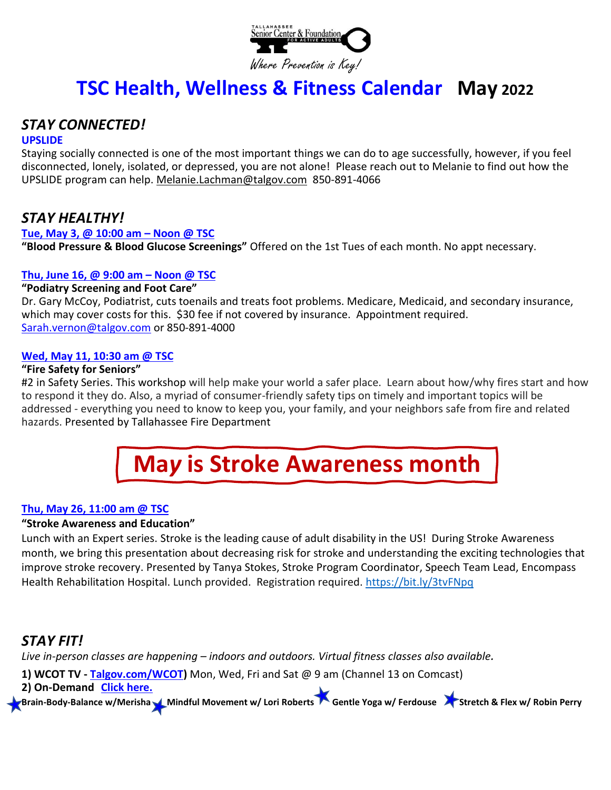

# **TSC Health, Wellness & Fitness Calendar May 2022**

# *STAY CONNECTED!*

#### **UPSLIDE**

Staying socially connected is one of the most important things we can do to age successfully, however, if you feel disconnected, lonely, isolated, or depressed, you are not alone! Please reach out to Melanie to find out how the UPSLIDE program can help. [Melanie.Lachman@talgov.com](mailto:Melanie.Lachman@talgov.com) 850-891-4066

# *STAY HEALTHY!*

#### **Tue, May 3, @ 10:00 am – Noon @ TSC**

**"Blood Pressure & Blood Glucose Screenings"** Offered on the 1st Tues of each month. No appt necessary.

### **Thu, June 16, @ 9:00 am – Noon @ TSC**

### **"Podiatry Screening and Foot Care"**

Dr. Gary McCoy, Podiatrist, cuts toenails and treats foot problems. Medicare, Medicaid, and secondary insurance, which may cover costs for this. \$30 fee if not covered by insurance. Appointment required. [Sarah.vernon@talgov.com](mailto:Sarah.vernon@talgov.com) or 850-891-4000

### **Wed, May 11, 10:30 am @ TSC**

## **"Fire Safety for Seniors"**

#2 in Safety Series. This workshop will help make your world a safer place. Learn about how/why fires start and how to respond it they do. Also, a myriad of consumer-friendly safety tips on timely and important topics will be addressed - everything you need to know to keep you, your family, and your neighbors safe from fire and related hazards. Presented by Tallahassee Fire Department



## **Thu, May 26, 11:00 am @ TSC**

### **"Stroke Awareness and Education"**

Lunch with an Expert series. Stroke is the leading cause of adult disability in the US! During Stroke Awareness month, we bring this presentation about decreasing risk for stroke and understanding the exciting technologies that improve stroke recovery. Presented by Tanya Stokes, Stroke Program Coordinator, Speech Team Lead, Encompass Health Rehabilitation Hospital. Lunch provided. Registration required.<https://bit.ly/3tvFNpq>

# *STAY FIT!*

*Live in-person classes are happening – indoors and outdoors. Virtual fitness classes also available.* 

**1) WCOT TV - [Talgov.com/WCOT\)](https://www.talgov.com/cotnews/wcot.aspx)** Mon, Wed, Fri and Sat @ 9 am (Channel 13 on Comcast)

**2) On-Demand [Click here.](https://urldefense.com/v3/__http:/r20.rs6.net/tn.jsp?f=001xarYBH_jsLriAlfv4yw6tfeXlNU2zjr1hf-YG7svJJUdNIwGQDKmup6Avl6wB2GQpNJ9ejPpQYsMTiT7tMMAKdvOHY47c4vhQhdVYpnjjAwqDhRSj21XoaZVBvHayTleruHpYB_hDkrtEq3sP3kU6j0kGcWRHgqxXCfBjDh7UmIaOaYRhNvV8Uk5ExTbgl4GCxLt3_qS7pw=&c=21x5wjTCnr039SHVhqpDDvCEbgNffRsoLhHeCPbMrnDoonR6i4MqSQ==&ch=BrmXMZ9-mC3JYKP8woxdw6jvmW4IdKwwV0_vHbAvsu5xt4GtWpzRxQ==__;!!N4_s6dRKiShDng!KCkXwKxhzlz6BDQcDy4t5MtmOBsCAa8FdR4neEzYlFPqA9QoOYboNdT4lnWRpaAnPA$)** 

Brain-Body-Balance w/Merisha Mindful Movement w/ Lori Roberts **Contrary Your Austrian Australia Australia Australia** Stretch & Flex w/ Robin Perry